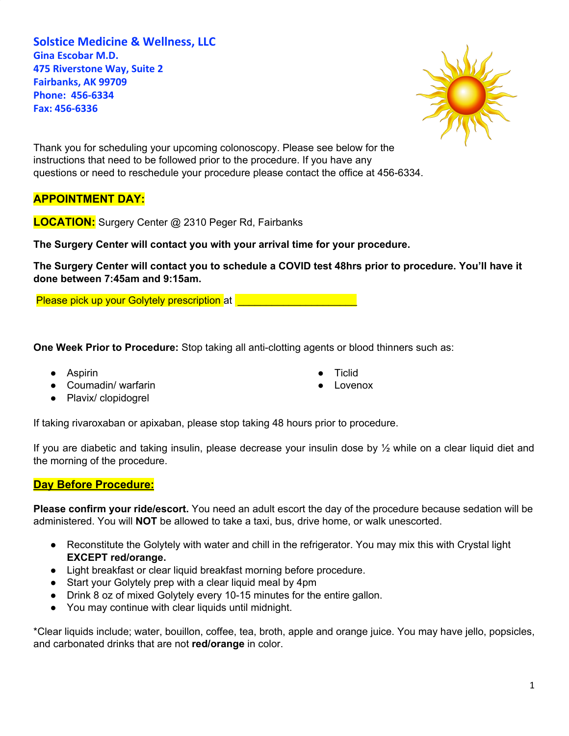**Solstice Medicine & Wellness, LLC Gina Escobar M.D. 475 Riverstone Way, Suite 2 Fairbanks, AK 99709 Phone: 456-6334 Fax: 456-6336**



Thank you for scheduling your upcoming colonoscopy. Please see below for the instructions that need to be followed prior to the procedure. If you have any questions or need to reschedule your procedure please contact the office at 456-6334.

## **APPOINTMENT DAY:**

**LOCATION:** Surgery Center @ 2310 Peger Rd, Fairbanks

**The Surgery Center will contact you with your arrival time for your procedure.**

The Surgery Center will contact you to schedule a COVID test 48hrs prior to procedure. You'll have it **done between 7:45am and 9:15am.**

Please pick up your Golytely prescription at **Device 20 and 20 years** 

**One Week Prior to Procedure:** Stop taking all anti-clotting agents or blood thinners such as:

- Aspirin
- Coumadin/ warfarin
- **Ticlid**
- Lovenox

● Plavix/ clopidogrel

If taking rivaroxaban or apixaban, please stop taking 48 hours prior to procedure.

If you are diabetic and taking insulin, please decrease your insulin dose by ½ while on a clear liquid diet and the morning of the procedure.

## **Day Before Procedure:**

**Please confirm your ride/escort.** You need an adult escort the day of the procedure because sedation will be administered. You will **NOT** be allowed to take a taxi, bus, drive home, or walk unescorted.

- Reconstitute the Golytely with water and chill in the refrigerator. You may mix this with Crystal light **EXCEPT red/orange.**
- Light breakfast or clear liquid breakfast morning before procedure.
- Start your Golytely prep with a clear liquid meal by 4pm
- Drink 8 oz of mixed Golytely every 10-15 minutes for the entire gallon.
- You may continue with clear liquids until midnight.

\*Clear liquids include; water, bouillon, coffee, tea, broth, apple and orange juice. You may have jello, popsicles, and carbonated drinks that are not **red/orange** in color.